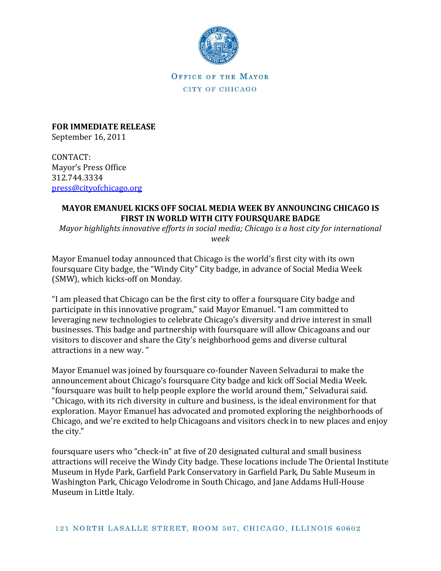

OFFICE OF THE MAYOR CITY OF CHICAGO

**FOR IMMEDIATE RELEASE** September 16, 2011

CONTACT: Mayor's Press Office 312.744.3334 [press@cityofchicago.org](mailto:press@cityofchicago.org)

## **MAYOR EMANUEL KICKS OFF SOCIAL MEDIA WEEK BY ANNOUNCING CHICAGO IS FIRST IN WORLD WITH CITY FOURSQUARE BADGE**

*Mayor highlights innovative efforts in social media; Chicago is a host city for international week*

Mayor Emanuel today announced that Chicago is the world's first city with its own foursquare City badge, the "Windy City" City badge, in advance of Social Media Week (SMW), which kicks-off on Monday.

"I am pleased that Chicago can be the first city to offer a foursquare City badge and participate in this innovative program," said Mayor Emanuel. "I am committed to leveraging new technologies to celebrate Chicago's diversity and drive interest in small businesses. This badge and partnership with foursquare will allow Chicagoans and our visitors to discover and share the City's neighborhood gems and diverse cultural attractions in a new way. "

Mayor Emanuel was joined by foursquare co-founder Naveen Selvadurai to make the announcement about Chicago's foursquare City badge and kick off Social Media Week. "foursquare was built to help people explore the world around them," Selvadurai said. "Chicago, with its rich diversity in culture and business, is the ideal environment for that exploration. Mayor Emanuel has advocated and promoted exploring the neighborhoods of Chicago, and we're excited to help Chicagoans and visitors check in to new places and enjoy the city."

foursquare users who "check-in" at five of 20 designated cultural and small business attractions will receive the Windy City badge. These locations include The Oriental Institute Museum in Hyde Park, Garfield Park Conservatory in Garfield Park, Du Sable Museum in Washington Park, Chicago Velodrome in South Chicago, and Jane Addams Hull-House Museum in Little Italy.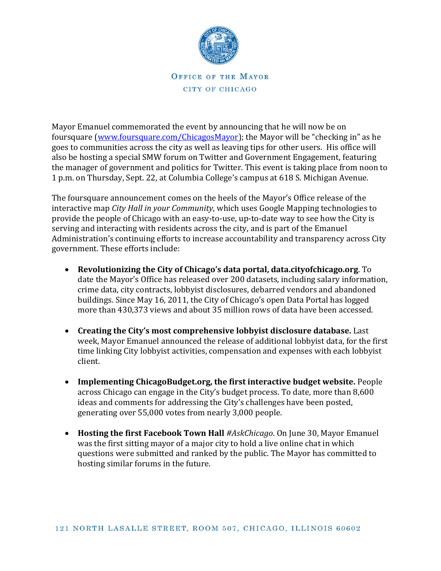

OFFICE OF THE MAYOR CITY OF CHICAGO

Mayor Emanuel commemorated the event by announcing that he will now be on foursquare [\(www.foursquare.com/ChicagosMayor\)](http://www.foursquare.com/ChicagosMayor); the Mayor will be "checking in" as he goes to communities across the city as well as leaving tips for other users. His office will also be hosting a special SMW forum on Twitter and Government Engagement, featuring the manager of government and politics for Twitter. This event is taking place from noon to 1 p.m. on Thursday, Sept. 22, at Columbia College's campus at 618 S. Michigan Avenue.

The foursquare announcement comes on the heels of the Mayor's Office release of the interactive map *City Hall in your Community*, which uses Google Mapping technologies to provide the people of Chicago with an easy-to-use, up-to-date way to see how the City is serving and interacting with residents across the city, and is part of the Emanuel Administration's continuing efforts to increase accountability and transparency across City government. These efforts include:

- **Revolutionizing the City of Chicago's data portal, data.cityofchicago.org**. To date the Mayor's Office has released over 200 datasets, including salary information, crime data, city contracts, lobbyist disclosures, debarred vendors and abandoned buildings. Since May 16, 2011, the City of Chicago's open Data Portal has logged more than 430,373 views and about 35 million rows of data have been accessed.
- **Creating the City's most comprehensive lobbyist disclosure database.** Last week, Mayor Emanuel announced the release of additional lobbyist data, for the first time linking City lobbyist activities, compensation and expenses with each lobbyist client.
- **Implementing ChicagoBudget.org, the first interactive budget website.** People across Chicago can engage in the City's budget process. To date, more than 8,600 ideas and comments for addressing the City's challenges have been posted, generating over 55,000 votes from nearly 3,000 people.
- **Hosting the first Facebook Town Hall** *#AskChicago*. On June 30, Mayor Emanuel was the first sitting mayor of a major city to hold a live online chat in which questions were submitted and ranked by the public. The Mayor has committed to hosting similar forums in the future.